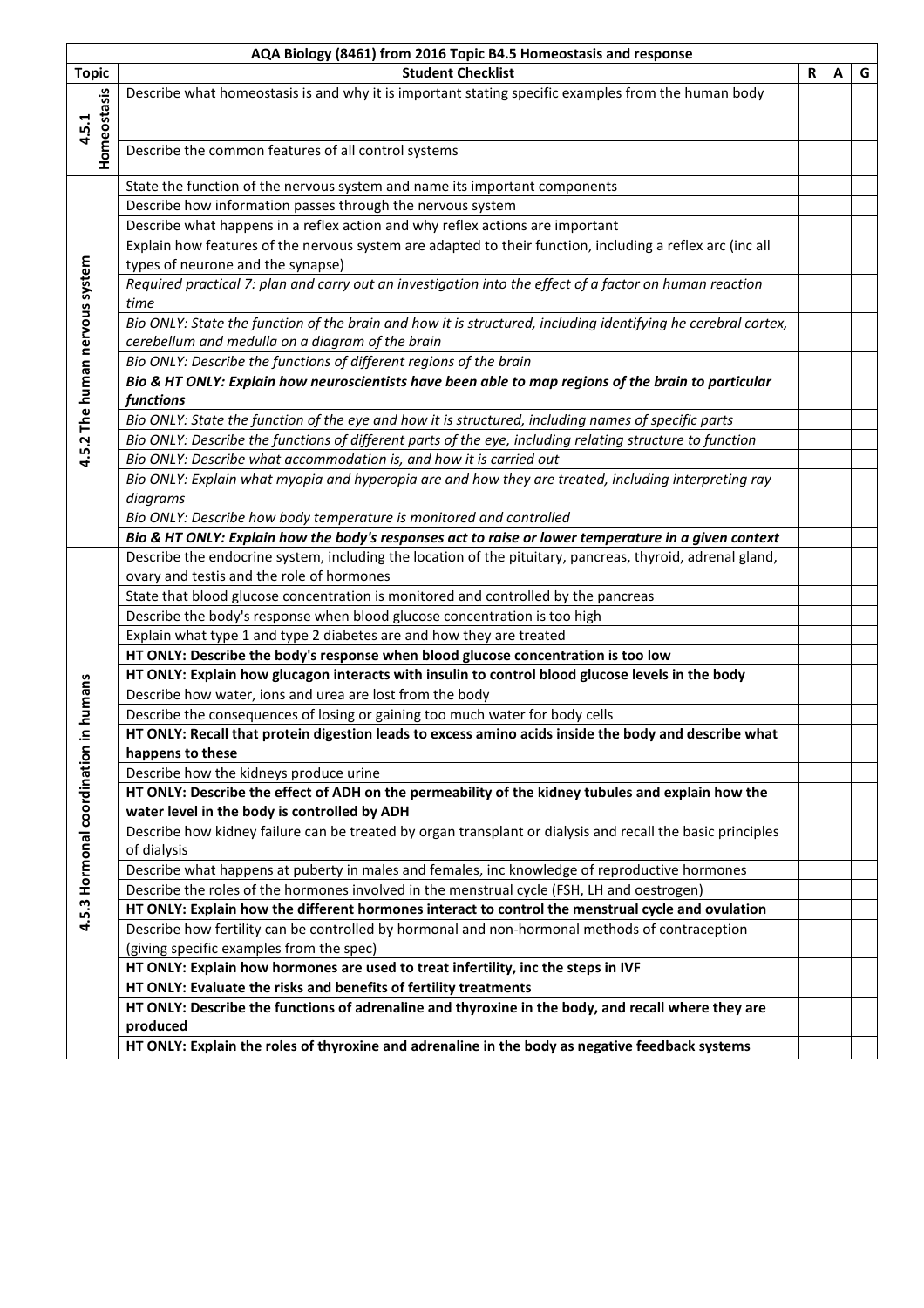|                                | AQA Biology (8461) from 2016 Topic B4.5 Homeostasis and response                                              |             |   |   |  |  |  |  |
|--------------------------------|---------------------------------------------------------------------------------------------------------------|-------------|---|---|--|--|--|--|
| <b>Topic</b>                   | <b>Student Checklist</b>                                                                                      | $\mathbf R$ | A | G |  |  |  |  |
|                                | Describe what homeostasis is and why it is important stating specific examples from the human body            |             |   |   |  |  |  |  |
|                                |                                                                                                               |             |   |   |  |  |  |  |
| Homeostasis<br>4.5.1           |                                                                                                               |             |   |   |  |  |  |  |
|                                | Describe the common features of all control systems                                                           |             |   |   |  |  |  |  |
|                                |                                                                                                               |             |   |   |  |  |  |  |
|                                | State the function of the nervous system and name its important components                                    |             |   |   |  |  |  |  |
|                                | Describe how information passes through the nervous system                                                    |             |   |   |  |  |  |  |
|                                | Describe what happens in a reflex action and why reflex actions are important                                 |             |   |   |  |  |  |  |
|                                | Explain how features of the nervous system are adapted to their function, including a reflex arc (inc all     |             |   |   |  |  |  |  |
|                                | types of neurone and the synapse)                                                                             |             |   |   |  |  |  |  |
|                                | Required practical 7: plan and carry out an investigation into the effect of a factor on human reaction       |             |   |   |  |  |  |  |
|                                | time                                                                                                          |             |   |   |  |  |  |  |
|                                | Bio ONLY: State the function of the brain and how it is structured, including identifying he cerebral cortex, |             |   |   |  |  |  |  |
|                                | cerebellum and medulla on a diagram of the brain                                                              |             |   |   |  |  |  |  |
|                                | Bio ONLY: Describe the functions of different regions of the brain                                            |             |   |   |  |  |  |  |
|                                | Bio & HT ONLY: Explain how neuroscientists have been able to map regions of the brain to particular           |             |   |   |  |  |  |  |
|                                | functions                                                                                                     |             |   |   |  |  |  |  |
|                                | Bio ONLY: State the function of the eye and how it is structured, including names of specific parts           |             |   |   |  |  |  |  |
| 4.5.2 The human nervous system | Bio ONLY: Describe the functions of different parts of the eye, including relating structure to function      |             |   |   |  |  |  |  |
|                                | Bio ONLY: Describe what accommodation is, and how it is carried out                                           |             |   |   |  |  |  |  |
|                                |                                                                                                               |             |   |   |  |  |  |  |
|                                | Bio ONLY: Explain what myopia and hyperopia are and how they are treated, including interpreting ray          |             |   |   |  |  |  |  |
|                                | diagrams                                                                                                      |             |   |   |  |  |  |  |
|                                | Bio ONLY: Describe how body temperature is monitored and controlled                                           |             |   |   |  |  |  |  |
|                                | Bio & HT ONLY: Explain how the body's responses act to raise or lower temperature in a given context          |             |   |   |  |  |  |  |
|                                | Describe the endocrine system, including the location of the pituitary, pancreas, thyroid, adrenal gland,     |             |   |   |  |  |  |  |
|                                | ovary and testis and the role of hormones                                                                     |             |   |   |  |  |  |  |
|                                | State that blood glucose concentration is monitored and controlled by the pancreas                            |             |   |   |  |  |  |  |
|                                | Describe the body's response when blood glucose concentration is too high                                     |             |   |   |  |  |  |  |
|                                | Explain what type 1 and type 2 diabetes are and how they are treated                                          |             |   |   |  |  |  |  |
|                                | HT ONLY: Describe the body's response when blood glucose concentration is too low                             |             |   |   |  |  |  |  |
|                                | HT ONLY: Explain how glucagon interacts with insulin to control blood glucose levels in the body              |             |   |   |  |  |  |  |
| in humans                      | Describe how water, ions and urea are lost from the body                                                      |             |   |   |  |  |  |  |
|                                | Describe the consequences of losing or gaining too much water for body cells                                  |             |   |   |  |  |  |  |
|                                | HT ONLY: Recall that protein digestion leads to excess amino acids inside the body and describe what          |             |   |   |  |  |  |  |
|                                | happens to these                                                                                              |             |   |   |  |  |  |  |
|                                | Describe how the kidneys produce urine                                                                        |             |   |   |  |  |  |  |
|                                | HT ONLY: Describe the effect of ADH on the permeability of the kidney tubules and explain how the             |             |   |   |  |  |  |  |
|                                | water level in the body is controlled by ADH                                                                  |             |   |   |  |  |  |  |
|                                | Describe how kidney failure can be treated by organ transplant or dialysis and recall the basic principles    |             |   |   |  |  |  |  |
|                                | of dialysis                                                                                                   |             |   |   |  |  |  |  |
|                                | Describe what happens at puberty in males and females, inc knowledge of reproductive hormones                 |             |   |   |  |  |  |  |
|                                | Describe the roles of the hormones involved in the menstrual cycle (FSH, LH and oestrogen)                    |             |   |   |  |  |  |  |
| 4.5.3 Hormonal coordination    | HT ONLY: Explain how the different hormones interact to control the menstrual cycle and ovulation             |             |   |   |  |  |  |  |
|                                | Describe how fertility can be controlled by hormonal and non-hormonal methods of contraception                |             |   |   |  |  |  |  |
|                                | (giving specific examples from the spec)                                                                      |             |   |   |  |  |  |  |
|                                | HT ONLY: Explain how hormones are used to treat infertility, inc the steps in IVF                             |             |   |   |  |  |  |  |
|                                | HT ONLY: Evaluate the risks and benefits of fertility treatments                                              |             |   |   |  |  |  |  |
|                                | HT ONLY: Describe the functions of adrenaline and thyroxine in the body, and recall where they are            |             |   |   |  |  |  |  |
|                                | produced                                                                                                      |             |   |   |  |  |  |  |
|                                | HT ONLY: Explain the roles of thyroxine and adrenaline in the body as negative feedback systems               |             |   |   |  |  |  |  |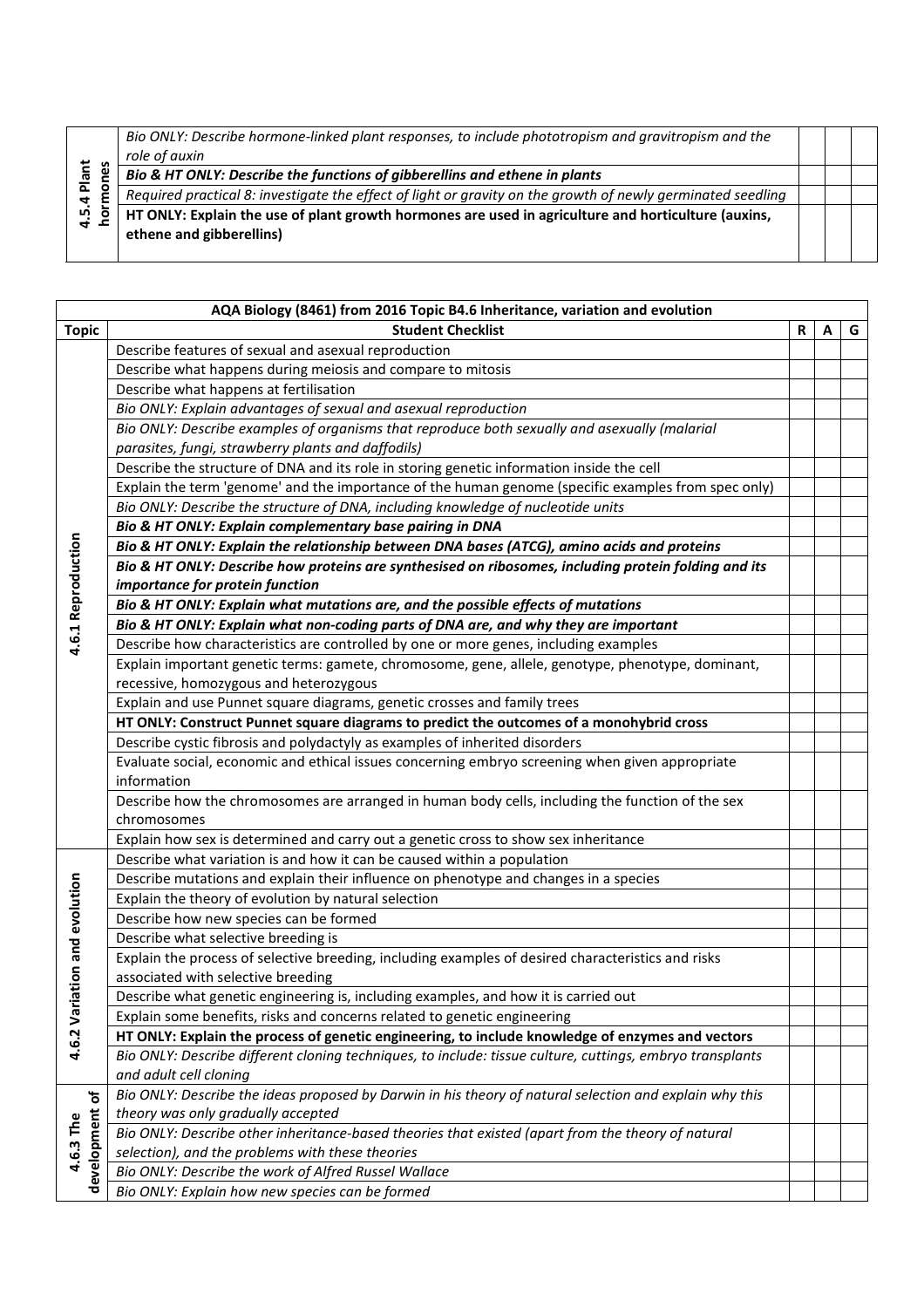| Plant<br>قع<br>ഥ | Bio ONLY: Describe hormone-linked plant responses, to include phototropism and gravitropism and the<br>role of auxin            |  |  |
|------------------|---------------------------------------------------------------------------------------------------------------------------------|--|--|
|                  | Bio & HT ONLY: Describe the functions of gibberellins and ethene in plants                                                      |  |  |
|                  | Required practical 8: investigate the effect of light or gravity on the growth of newly germinated seedling                     |  |  |
|                  | HT ONLY: Explain the use of plant growth hormones are used in agriculture and horticulture (auxins,<br>ethene and gibberellins) |  |  |
|                  |                                                                                                                                 |  |  |

|                               | AQA Biology (8461) from 2016 Topic B4.6 Inheritance, variation and evolution                                                      |   |   |   |  |  |
|-------------------------------|-----------------------------------------------------------------------------------------------------------------------------------|---|---|---|--|--|
| <b>Topic</b>                  | <b>Student Checklist</b>                                                                                                          | R | А | G |  |  |
|                               | Describe features of sexual and asexual reproduction                                                                              |   |   |   |  |  |
|                               | Describe what happens during meiosis and compare to mitosis                                                                       |   |   |   |  |  |
|                               | Describe what happens at fertilisation                                                                                            |   |   |   |  |  |
|                               | Bio ONLY: Explain advantages of sexual and asexual reproduction                                                                   |   |   |   |  |  |
|                               | Bio ONLY: Describe examples of organisms that reproduce both sexually and asexually (malarial                                     |   |   |   |  |  |
|                               | parasites, fungi, strawberry plants and daffodils)                                                                                |   |   |   |  |  |
|                               | Describe the structure of DNA and its role in storing genetic information inside the cell                                         |   |   |   |  |  |
|                               | Explain the term 'genome' and the importance of the human genome (specific examples from spec only)                               |   |   |   |  |  |
|                               | Bio ONLY: Describe the structure of DNA, including knowledge of nucleotide units                                                  |   |   |   |  |  |
|                               | Bio & HT ONLY: Explain complementary base pairing in DNA                                                                          |   |   |   |  |  |
|                               | Bio & HT ONLY: Explain the relationship between DNA bases (ATCG), amino acids and proteins                                        |   |   |   |  |  |
|                               | Bio & HT ONLY: Describe how proteins are synthesised on ribosomes, including protein folding and its                              |   |   |   |  |  |
|                               | importance for protein function                                                                                                   |   |   |   |  |  |
|                               | Bio & HT ONLY: Explain what mutations are, and the possible effects of mutations                                                  |   |   |   |  |  |
| 4.6.1 Reproduction            | Bio & HT ONLY: Explain what non-coding parts of DNA are, and why they are important                                               |   |   |   |  |  |
|                               | Describe how characteristics are controlled by one or more genes, including examples                                              |   |   |   |  |  |
|                               | Explain important genetic terms: gamete, chromosome, gene, allele, genotype, phenotype, dominant,                                 |   |   |   |  |  |
|                               | recessive, homozygous and heterozygous                                                                                            |   |   |   |  |  |
|                               | Explain and use Punnet square diagrams, genetic crosses and family trees                                                          |   |   |   |  |  |
|                               | HT ONLY: Construct Punnet square diagrams to predict the outcomes of a monohybrid cross                                           |   |   |   |  |  |
|                               | Describe cystic fibrosis and polydactyly as examples of inherited disorders                                                       |   |   |   |  |  |
|                               | Evaluate social, economic and ethical issues concerning embryo screening when given appropriate                                   |   |   |   |  |  |
|                               | information                                                                                                                       |   |   |   |  |  |
|                               | Describe how the chromosomes are arranged in human body cells, including the function of the sex                                  |   |   |   |  |  |
|                               | chromosomes                                                                                                                       |   |   |   |  |  |
|                               | Explain how sex is determined and carry out a genetic cross to show sex inheritance                                               |   |   |   |  |  |
|                               | Describe what variation is and how it can be caused within a population                                                           |   |   |   |  |  |
|                               | Describe mutations and explain their influence on phenotype and changes in a species                                              |   |   |   |  |  |
|                               | Explain the theory of evolution by natural selection                                                                              |   |   |   |  |  |
|                               | Describe how new species can be formed                                                                                            |   |   |   |  |  |
|                               | Describe what selective breeding is                                                                                               |   |   |   |  |  |
|                               | Explain the process of selective breeding, including examples of desired characteristics and risks                                |   |   |   |  |  |
|                               | associated with selective breeding                                                                                                |   |   |   |  |  |
|                               | Describe what genetic engineering is, including examples, and how it is carried out                                               |   |   |   |  |  |
|                               | Explain some benefits, risks and concerns related to genetic engineering                                                          |   |   |   |  |  |
| 4.6.2 Variation and evolution | HT ONLY: Explain the process of genetic engineering, to include knowledge of enzymes and vectors                                  |   |   |   |  |  |
|                               | Bio ONLY: Describe different cloning techniques, to include: tissue culture, cuttings, embryo transplants                         |   |   |   |  |  |
|                               | and adult cell cloning<br>Bio ONLY: Describe the ideas proposed by Darwin in his theory of natural selection and explain why this |   |   |   |  |  |
| development of<br>4.6.3 The   | theory was only gradually accepted                                                                                                |   |   |   |  |  |
|                               | Bio ONLY: Describe other inheritance-based theories that existed (apart from the theory of natural                                |   |   |   |  |  |
|                               | selection), and the problems with these theories                                                                                  |   |   |   |  |  |
|                               | Bio ONLY: Describe the work of Alfred Russel Wallace                                                                              |   |   |   |  |  |
|                               | Bio ONLY: Explain how new species can be formed                                                                                   |   |   |   |  |  |
|                               |                                                                                                                                   |   |   |   |  |  |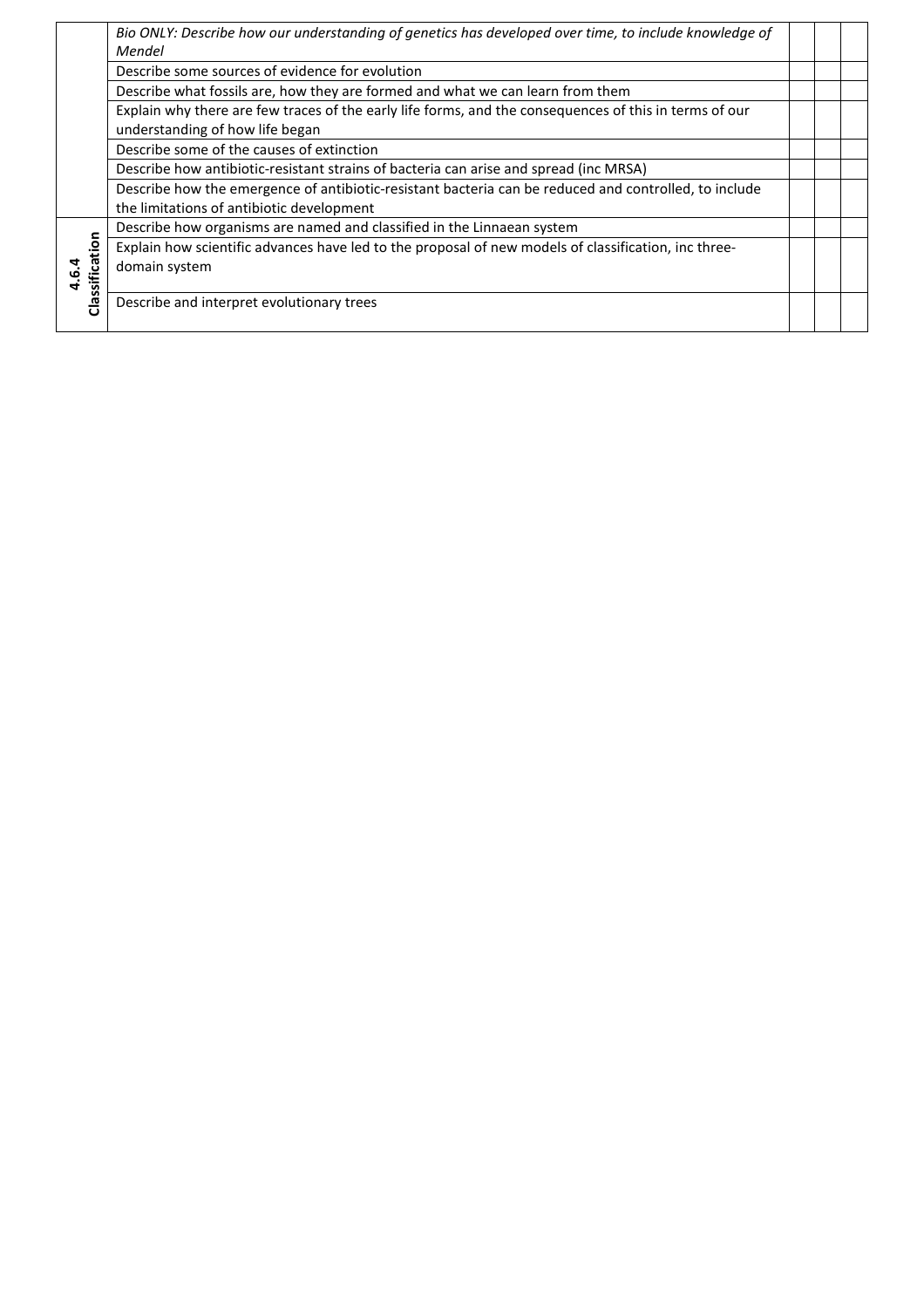|                             | Bio ONLY: Describe how our understanding of genetics has developed over time, to include knowledge of<br>Mendel                           |  |  |
|-----------------------------|-------------------------------------------------------------------------------------------------------------------------------------------|--|--|
|                             | Describe some sources of evidence for evolution                                                                                           |  |  |
|                             | Describe what fossils are, how they are formed and what we can learn from them                                                            |  |  |
|                             | Explain why there are few traces of the early life forms, and the consequences of this in terms of our<br>understanding of how life began |  |  |
|                             | Describe some of the causes of extinction                                                                                                 |  |  |
|                             | Describe how antibiotic-resistant strains of bacteria can arise and spread (inc MRSA)                                                     |  |  |
|                             | Describe how the emergence of antibiotic-resistant bacteria can be reduced and controlled, to include                                     |  |  |
|                             | the limitations of antibiotic development                                                                                                 |  |  |
|                             | Describe how organisms are named and classified in the Linnaean system                                                                    |  |  |
| Classification<br><u>مې</u> | Explain how scientific advances have led to the proposal of new models of classification, inc three-<br>domain system                     |  |  |
|                             | Describe and interpret evolutionary trees                                                                                                 |  |  |